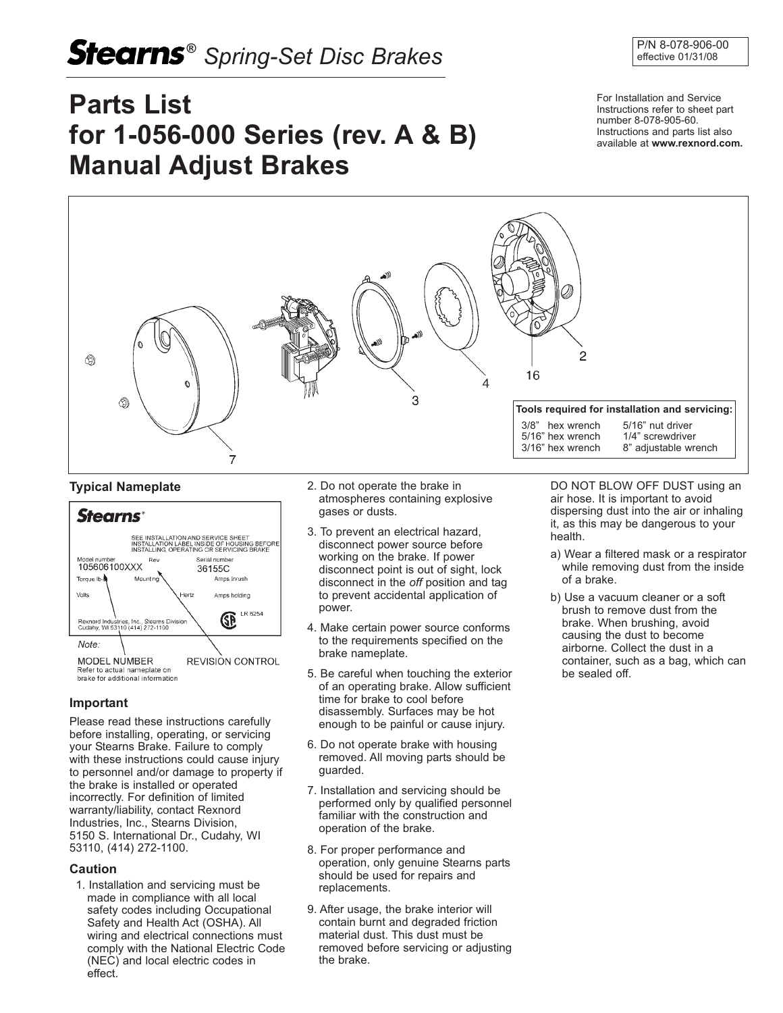# **Stearns**<sup>®</sup> Spring-Set Disc Brakes **P/N 8-078-906-00**

# **Parts List for 1-056-000 Series (rev. A & B) Manual Adjust Brakes**

For Installation and Service Instructions refer to sheet part number 8-078-905-60. Instructions and parts list also available at **www.rexnord.com.** 



### **Typical Nameplate**



## **Important**

Please read these instructions carefully before installing, operating, or servicing your Stearns Brake. Failure to comply with these instructions could cause injury to personnel and/or damage to property if the brake is installed or operated incorrectly. For definition of limited warranty/liability, contact Rexnord Industries, Inc., Stearns Division, 5150 S. International Dr., Cudahy, WI 53110, (414) 272-1100.

### **Caution**

1. Installation and servicing must be made in compliance with all local safety codes including Occupational Safety and Health Act (OSHA). All wiring and electrical connections must comply with the National Electric Code (NEC) and local electric codes in effect.

- 2. Do not operate the brake in atmospheres containing explosive gases or dusts.
- 3. To prevent an electrical hazard, disconnect power source before working on the brake. If power disconnect point is out of sight, lock disconnect in the *off* position and tag to prevent accidental application of power.
- 4. Make certain power source conforms to the requirements specified on the brake nameplate.
- 5. Be careful when touching the exterior of an operating brake. Allow sufficient time for brake to cool before disassembly. Surfaces may be hot enough to be painful or cause injury.
- 6. Do not operate brake with housing removed. All moving parts should be guarded.
- 7. Installation and servicing should be performed only by qualified personnel familiar with the construction and operation of the brake.
- 8. For proper performance and operation, only genuine Stearns parts should be used for repairs and replacements.
- 9. After usage, the brake interior will contain burnt and degraded friction material dust. This dust must be removed before servicing or adjusting the brake.

DO NOT BLOW OFF DUST using an air hose. It is important to avoid dispersing dust into the air or inhaling it, as this may be dangerous to your health.

- a) Wear a filtered mask or a respirator while removing dust from the inside of a brake.
- b) Use a vacuum cleaner or a soft brush to remove dust from the brake. When brushing, avoid causing the dust to become airborne. Collect the dust in a container, such as a bag, which can be sealed off.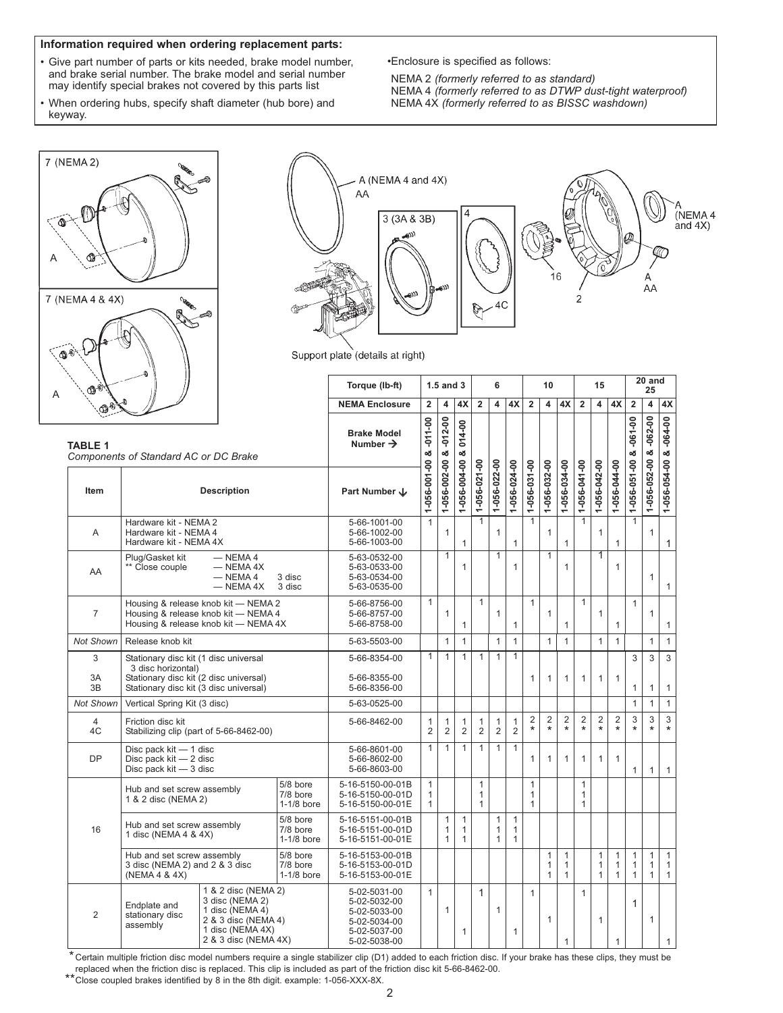#### **Information required when ordering replacement parts:**

- Give part number of parts or kits needed, brake model number, and brake serial number. The brake model and serial number may identify special brakes not covered by this parts list
- When ordering hubs, specify shaft diameter (hub bore) and keyway.

•Enclosure is specified as follows:

NEMA 2 *(formerly referred to as standard)* NEMA 4 *(formerly referred to as DTWP dust-tight waterproof)* NEMA 4X *(formerly referred to as BISSC washdown)*

 $\overline{\phantom{a}}$ 



| $-$ A (NEMA 4 and 4X)<br>AA          |                                 |               |                         |
|--------------------------------------|---------------------------------|---------------|-------------------------|
| 3(3A & 3B)                           |                                 |               | н<br>(NEMA 4<br>and 4X) |
|                                      |                                 | $\frac{1}{2}$ |                         |
|                                      |                                 | 16            | Α                       |
| $\mathcal{M}_{\text{Gav},i}$<br>ستهج | $\mathbb{R}^{\text{min}}$<br>4C |               | AA                      |
|                                      |                                 |               |                         |

Support plate (details at right)

| ֎֎                                                      |                                                                                                                                                                             |                                            |                                                                                              | Torque (lb-ft)                                               |                                              | $1.5$ and $3$                                |                                              | 6<br>10                                      |                                              |                                              |                                              |                                              | 15                | 20 and<br>25                                 |                                              |                                              |                                              |                                              |                                |
|---------------------------------------------------------|-----------------------------------------------------------------------------------------------------------------------------------------------------------------------------|--------------------------------------------|----------------------------------------------------------------------------------------------|--------------------------------------------------------------|----------------------------------------------|----------------------------------------------|----------------------------------------------|----------------------------------------------|----------------------------------------------|----------------------------------------------|----------------------------------------------|----------------------------------------------|-------------------|----------------------------------------------|----------------------------------------------|----------------------------------------------|----------------------------------------------|----------------------------------------------|--------------------------------|
|                                                         |                                                                                                                                                                             |                                            |                                                                                              | <b>NEMA Enclosure</b>                                        | $\overline{2}$                               | $\overline{4}$                               | 4X                                           | $\overline{2}$                               | $\overline{\mathbf{A}}$                      | 4X                                           | $\overline{2}$                               | $\overline{4}$                               | 4X                | $\overline{2}$                               | $\overline{4}$                               | 4X                                           | $\overline{2}$                               | $\overline{\mathbf{4}}$                      | 4X                             |
| <b>TABLE 1</b><br>Components of Standard AC or DC Brake |                                                                                                                                                                             | <b>Brake Model</b><br>Number $\rightarrow$ | $-011 - 00$<br>œ                                                                             | $-012 - 00$<br>න්                                            | 014-00<br>න්                                 |                                              |                                              |                                              |                                              |                                              |                                              |                                              |                   |                                              | $-061 - 00$<br>×                             | 1-056-052-00 & -062-00                       | $-064 - 00$                                  |                                              |                                |
| Item                                                    |                                                                                                                                                                             | <b>Description</b>                         |                                                                                              | Part Number J                                                | 1-056-001-00                                 | 1-056-002-00                                 | 1-056-004-00                                 | 1-056-021-00                                 | 1-056-022-00                                 | 1-056-024-00                                 | 1-056-031-00                                 | 1-056-032-00                                 | 1-056-034-00      | 1-056-041-00                                 | 1-056-042-00                                 | 1-056-044-00                                 | 1-056-051-00                                 |                                              | 1-056-054-00 &                 |
| Α                                                       | Hardware kit - NEMA 2<br>Hardware kit - NEMA 4<br>Hardware kit - NEMA 4X                                                                                                    |                                            |                                                                                              | 5-66-1001-00<br>5-66-1002-00<br>5-66-1003-00                 | $\mathbf{1}$                                 | $\mathbf{1}$                                 | $\mathbf{1}$                                 | $\mathbf{1}$                                 | $\mathbf{1}$                                 | $\mathbf{1}$                                 | $\mathbf{1}$                                 | $\mathbf{1}$                                 | $\mathbf{1}$      |                                              | $\mathbf{1}$                                 | $\mathbf{1}$                                 |                                              | $\mathbf{1}$                                 | $\mathbf{1}$                   |
| AA                                                      | Plug/Gasket kit<br>$-$ NEMA4<br>Close couple<br>$-$ NEMA 4X<br>$-$ NEMA 4<br>3 disc<br>$-$ NEMA 4X<br>3 disc                                                                |                                            |                                                                                              | 5-63-0532-00<br>5-63-0533-00<br>5-63-0534-00<br>5-63-0535-00 |                                              | $\mathbf{1}$                                 | $\mathbf{1}$                                 |                                              | $\mathbf{1}$                                 | $\mathbf{1}$                                 |                                              | $\mathbf{1}$                                 | $\mathbf{1}$      |                                              | $\overline{1}$                               | 1                                            |                                              | $\mathbf{1}$                                 | $\mathbf{1}$                   |
| $\overline{7}$                                          | Housing & release knob kit - NEMA 2<br>Housing & release knob kit - NEMA 4<br>Housing & release knob kit - NEMA 4X                                                          |                                            |                                                                                              | 5-66-8756-00<br>5-66-8757-00<br>5-66-8758-00                 | $\mathbf{1}$                                 | $\mathbf{1}$                                 | $\mathbf{1}$                                 | $\mathbf{1}$                                 | $\mathbf{1}$                                 | $\mathbf{1}$                                 | $\mathbf{1}$                                 | $\mathbf{1}$                                 | $\mathbf{1}$      | $\mathbf{1}$                                 | $\mathbf{1}$                                 | $\mathbf{1}$                                 | $\mathbf{1}$                                 | $\mathbf{1}$                                 | $\mathbf{1}$                   |
| <b>Not Shown</b>                                        | Release knob kit                                                                                                                                                            |                                            |                                                                                              | 5-63-5503-00                                                 |                                              | $\mathbf{1}$                                 | $\mathbf{1}$                                 |                                              | $\mathbf{1}$                                 | $\mathbf{1}$                                 |                                              | $\mathbf{1}$                                 | $\mathbf{1}$      |                                              | $\mathbf{1}$                                 | $\mathbf{1}$                                 |                                              | $\mathbf{1}$                                 | $\mathbf{1}$                   |
| 3<br>3A<br>3B                                           | Stationary disc kit (1 disc universal<br>3 disc horizontal)<br>Stationary disc kit (2 disc universal)<br>Stationary disc kit (3 disc universal)                             |                                            |                                                                                              | 5-66-8354-00<br>5-66-8355-00<br>5-66-8356-00                 | $\mathbf{1}$                                 | $\mathbf{1}$                                 | $\mathbf{1}$                                 | $\mathbf{1}$                                 | $\mathbf{1}$                                 | $\overline{1}$                               | $\mathbf{1}$                                 | $\mathbf{1}$                                 | $\mathbf{1}$      | $\mathbf{1}$                                 | $\mathbf{1}$                                 | $\mathbf{1}$                                 | 3<br>$\mathbf{1}$                            | 3<br>$\mathbf{1}$                            | $\overline{3}$<br>$\mathbf{1}$ |
| Not Shown                                               | Vertical Spring Kit (3 disc)                                                                                                                                                |                                            |                                                                                              | 5-63-0525-00                                                 |                                              |                                              |                                              |                                              |                                              |                                              |                                              |                                              |                   |                                              |                                              |                                              | $\mathbf{1}$                                 | $\mathbf{1}$                                 | $\mathbf{1}$                   |
| $\overline{4}$<br>4C                                    | Friction disc kit                                                                                                                                                           | Stabilizing clip (part of 5-66-8462-00)    |                                                                                              | 5-66-8462-00                                                 | $\mathbf{1}$<br>$\overline{2}$               | $\mathbf{1}$<br>$\overline{2}$               | $\mathbf{1}$<br>$\overline{2}$               | 1<br>$\overline{2}$                          | $\mathbf{1}$<br>$\overline{2}$               | $\mathbf{1}$<br>$\overline{2}$               | $_{\star}^2$                                 | $\overline{2}$<br>$\overline{\ast}$          | $\frac{2}{\star}$ | $\overline{2}$<br>$\star$                    | $\overline{2}$<br>$\star$                    | $\overline{2}$<br>$\star$                    | 3<br>$\ddot{\phantom{1}}$                    | 3<br>$\star$                                 | 3<br>$\ddot{\phantom{0}}$      |
| <b>DP</b>                                               | Disc pack kit - 1 disc<br>Disc pack $kit - 2$ disc<br>Disc pack kit - 3 disc                                                                                                |                                            |                                                                                              | 5-66-8601-00<br>5-66-8602-00<br>5-66-8603-00                 | $\mathbf{1}$                                 | $\mathbf{1}$                                 | $\mathbf{1}$                                 | $\mathbf{1}$                                 | $\mathbf{1}$                                 | $\mathbf{1}$                                 | 1                                            | $\mathbf{1}$                                 | $\mathbf{1}$      | $\mathbf{1}$                                 | $\mathbf{1}$                                 | $\mathbf{1}$                                 | $\mathbf{1}$                                 | $\mathbf{1}$                                 | $\mathbf{1}$                   |
|                                                         | Hub and set screw assembly<br>1 & 2 disc (NEMA 2)                                                                                                                           |                                            | 5/8 bore<br>7/8 bore<br>$1-1/8$ bore                                                         | 5-16-5150-00-01B<br>5-16-5150-00-01D<br>5-16-5150-00-01E     | $\mathbf{1}$<br>$\mathbf{1}$<br>$\mathbf{1}$ |                                              |                                              | $\mathbf{1}$<br>$\mathbf{1}$<br>$\mathbf{1}$ |                                              |                                              | $\mathbf{1}$<br>$\mathbf{1}$<br>$\mathbf{1}$ |                                              |                   | $\mathbf{1}$<br>$\mathbf{1}$<br>1            |                                              |                                              |                                              |                                              |                                |
| 16                                                      | Hub and set screw assembly<br>1 disc (NEMA 4 & 4X)                                                                                                                          |                                            | 5/8 bore<br>7/8 bore<br>$1-1/8$ bore                                                         | 5-16-5151-00-01B<br>5-16-5151-00-01D<br>5-16-5151-00-01E     |                                              | $\mathbf{1}$<br>$\mathbf{1}$<br>$\mathbf{1}$ | $\mathbf{1}$<br>$\mathbf{1}$<br>$\mathbf{1}$ |                                              | $\mathbf{1}$<br>$\mathbf{1}$<br>$\mathbf{1}$ | $\mathbf{1}$<br>$\mathbf{1}$<br>$\mathbf{1}$ |                                              |                                              |                   |                                              |                                              |                                              |                                              |                                              |                                |
|                                                         | 5/8 bore<br>Hub and set screw assembly<br>3 disc (NEMA 2) and 2 & 3 disc<br>7/8 bore<br>(NEMA 4 & 4X)<br>$1-1/8$ bore                                                       |                                            | 5-16-5153-00-01B<br>5-16-5153-00-01D<br>5-16-5153-00-01E                                     |                                                              |                                              |                                              |                                              |                                              |                                              |                                              | $\mathbf{1}$<br>$\mathbf{1}$<br>$\mathbf{1}$ | $\mathbf{1}$<br>$\mathbf{1}$<br>$\mathbf{1}$ |                   | $\mathbf{1}$<br>$\mathbf{1}$<br>$\mathbf{1}$ | $\mathbf{1}$<br>$\mathbf{1}$<br>$\mathbf{1}$ | $\mathbf{1}$<br>$\mathbf{1}$<br>$\mathbf{1}$ | $\mathbf{1}$<br>$\mathbf{1}$<br>$\mathbf{1}$ | $\mathbf{1}$<br>$\mathbf{1}$<br>$\mathbf{1}$ |                                |
| $\overline{2}$                                          | 1 & 2 disc (NEMA 2)<br>3 disc (NEMA 2)<br>Endplate and<br>1 disc (NEMA 4)<br>stationary disc<br>2 & 3 disc (NEMA 4)<br>assembly<br>1 disc (NEMA 4X)<br>2 & 3 disc (NEMA 4X) |                                            | 5-02-5031-00<br>5-02-5032-00<br>5-02-5033-00<br>5-02-5034-00<br>5-02-5037-00<br>5-02-5038-00 | $\mathbf{1}$                                                 | $\mathbf{1}$                                 | 1                                            | $\mathbf{1}$                                 | $\mathbf{1}$                                 | $\mathbf{1}$                                 | $\mathbf{1}$                                 | $\mathbf{1}$                                 | $\mathbf{1}$                                 | $\mathbf{1}$      | $\mathbf{1}$                                 | $\mathbf{1}$                                 | 1                                            | $\mathbf{1}$                                 | $\mathbf{1}$                                 |                                |

\* Certain multiple friction disc model numbers require a single stabilizer clip (D1) added to each friction disc. If your brake has these clips, they must be replaced when the friction disc is replaced. This clip is included as part of the friction disc kit 5-66-8462-00.

\*\*Close coupled brakes identified by 8 in the 8th digit. example: 1-056-XXX-8X.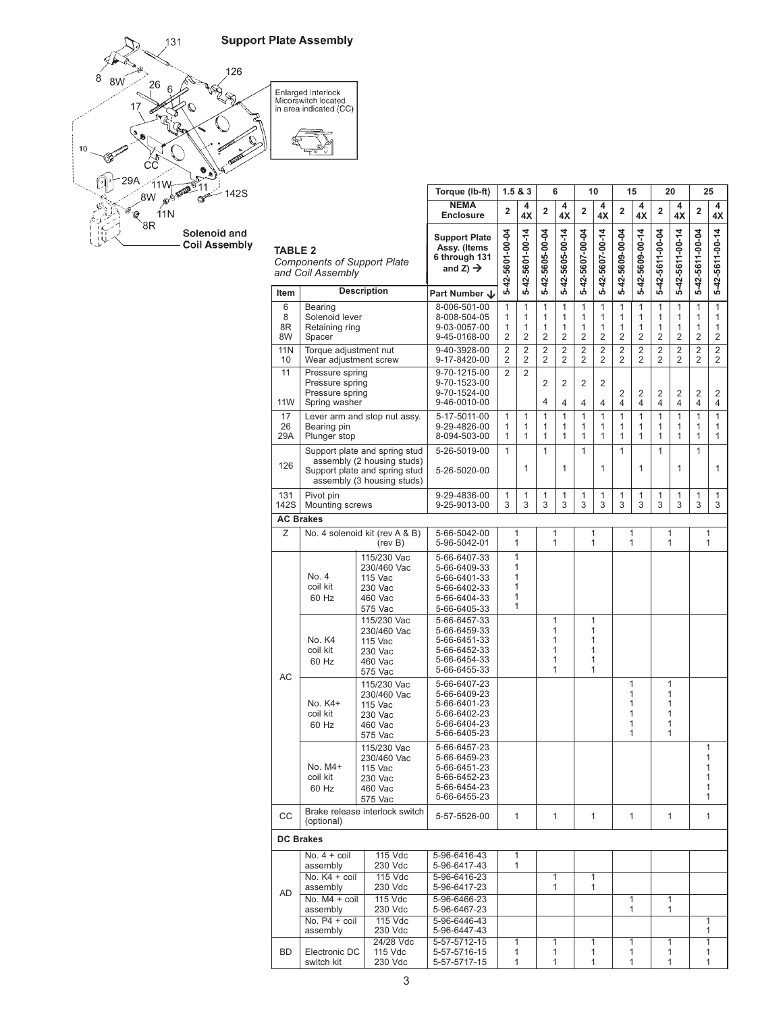



|                                                                           |                                                                                                                            | Torque (lb-ft)                                                         | 1.5 & 8.3                                                                                    |                                  | 6                                  |                                  | 10                               |                                  | 15                               |                                                                           | 20                               |                                                                                      |                                  | 25                                       |                                          |
|---------------------------------------------------------------------------|----------------------------------------------------------------------------------------------------------------------------|------------------------------------------------------------------------|----------------------------------------------------------------------------------------------|----------------------------------|------------------------------------|----------------------------------|----------------------------------|----------------------------------|----------------------------------|---------------------------------------------------------------------------|----------------------------------|--------------------------------------------------------------------------------------|----------------------------------|------------------------------------------|------------------------------------------|
|                                                                           |                                                                                                                            |                                                                        | <b>NEMA</b><br><b>Enclosure</b>                                                              | $\overline{2}$                   | 4<br>4X                            | $\overline{2}$                   | 4<br>4X                          | $\overline{2}$                   | 4<br>4X                          | $\overline{2}$                                                            | 4<br>4X                          | $\overline{2}$                                                                       | 4<br>4X                          | $\overline{2}$                           | 4<br>4X                                  |
| <b>TABLE 2</b><br><b>Components of Support Plate</b><br>and Coil Assembly |                                                                                                                            |                                                                        | <b>Support Plate</b><br>Assy. (Items<br>6 through 131<br>and Z) $\rightarrow$                | 5-42-5601-00-04                  | 5-42-5601-00-14                    | 5-42-5605-00-04                  | 5-42-5605-00-14                  | 5-42-5607-00-04                  | 5-42-5607-00-14                  | 5-42-5609-00-04                                                           | 5-42-5609-00-14                  | 5-42-5611-00-04                                                                      | 5-42-5611-00-14                  | 5-42-5611-00-04                          | 5-42-5611-00-14                          |
| Item                                                                      |                                                                                                                            | <b>Description</b>                                                     | Part Number ↓                                                                                |                                  |                                    | 1                                |                                  |                                  |                                  |                                                                           |                                  |                                                                                      |                                  |                                          |                                          |
| 6<br>8<br>8R<br>8W                                                        | <b>Bearing</b><br>Solenoid lever<br>Retaining ring<br>Spacer                                                               |                                                                        | 8-006-501-00<br>8-008-504-05<br>9-03-0057-00<br>9-45-0168-00                                 | 1<br>1<br>$\overline{2}$         | 1<br>1<br>1<br>1<br>$\overline{2}$ |                                  | 1<br>1<br>1<br>$\overline{2}$    | 1<br>1<br>1<br>$\overline{2}$    | 1<br>1<br>1<br>$\overline{2}$    | $\mathbf{1}$<br>1<br>1<br>1<br>1<br>1<br>$\overline{2}$<br>$\overline{2}$ |                                  | $\mathbf{1}$<br>1<br>1<br>1<br>$\mathbf{1}$<br>1<br>$\overline{2}$<br>$\overline{2}$ |                                  | 1<br>1<br>$\mathbf{1}$<br>$\overline{2}$ | $\mathbf{1}$<br>1<br>1<br>$\overline{2}$ |
| <b>11N</b><br>10                                                          | Torque adjustment nut<br>Wear adjustment screw                                                                             |                                                                        | 9-40-3928-00<br>9-17-8420-00                                                                 | $\overline{2}$<br>$\overline{2}$ | $\overline{2}$<br>$\overline{2}$   | $\overline{2}$<br>$\overline{2}$ | $\overline{2}$<br>$\overline{2}$ | $\overline{2}$<br>$\overline{2}$ | $\overline{2}$<br>$\overline{2}$ | $\overline{2}$<br>$\overline{2}$                                          | $\overline{2}$<br>$\overline{2}$ | $\overline{2}$<br>$\overline{2}$                                                     | $\overline{2}$<br>$\overline{2}$ | $\overline{2}$<br>2                      | $\overline{2}$<br>$\overline{2}$         |
| 11<br>11W                                                                 | Pressure spring<br>Pressure spring<br>Pressure spring<br>Spring washer                                                     |                                                                        | 9-70-1215-00<br>9-70-1523-00<br>9-70-1524-00<br>9-46-0010-00                                 | $\overline{2}$                   | $\overline{2}$                     | $\overline{2}$<br>4              | $\overline{2}$<br>4              | $\overline{2}$<br>4              | $\overline{2}$<br>4              | 2<br>4                                                                    | 2<br>4                           | $\overline{2}$<br>4                                                                  | 2<br>4                           | $\overline{2}$<br>4                      | 2<br>$\overline{4}$                      |
| 17<br>26<br>29A                                                           | Bearing pin<br>Plunger stop                                                                                                | Lever arm and stop nut assy.                                           | 5-17-5011-00<br>9-29-4826-00<br>8-094-503-00                                                 | 1<br>1<br>1                      | 1<br>1<br>1                        | $\mathbf{1}$<br>1<br>1           | $\mathbf{1}$<br>1<br>1           | $\mathbf{1}$<br>1<br>1           | $\mathbf{1}$<br>1<br>1           | $\mathbf{1}$<br>1<br>1                                                    | $\mathbf{1}$<br>1<br>1           | $\mathbf{1}$<br>1<br>1                                                               | $\mathbf{1}$<br>1<br>1           | $\mathbf{1}$<br>1<br>1                   | $\mathbf{1}$<br>1<br>1                   |
| 126                                                                       | Support plate and spring stud<br>assembly (2 housing studs)<br>Support plate and spring stud<br>assembly (3 housing studs) |                                                                        | 5-26-5019-00<br>5-26-5020-00                                                                 | $\mathbf{1}$                     | 1                                  | $\mathbf{1}$                     | $\mathbf{1}$                     | $\mathbf{1}$                     | 1                                | $\mathbf{1}$                                                              | 1                                | $\mathbf{1}$                                                                         | 1                                | 1                                        | 1                                        |
| 131<br>142S                                                               | Pivot pin<br>Mounting screws                                                                                               |                                                                        | 9-29-4836-00<br>9-25-9013-00                                                                 | 1<br>3                           | 1<br>3                             | 1<br>3                           | 1<br>3                           | 1<br>3                           | 1<br>3                           | 1<br>3                                                                    | 1<br>3                           | 1<br>3                                                                               | 1<br>3                           | 1<br>3                                   | 1<br>3                                   |
|                                                                           | <b>AC Brakes</b>                                                                                                           |                                                                        |                                                                                              |                                  |                                    |                                  |                                  |                                  |                                  |                                                                           |                                  |                                                                                      |                                  |                                          |                                          |
| Ζ                                                                         | No. 4 solenoid kit (rev A & B)<br>(rev B)                                                                                  |                                                                        | 5-66-5042-00<br>5-96-5042-01                                                                 |                                  | 1<br>1                             | 1<br>1                           |                                  | 1<br>1                           |                                  | 1<br>1                                                                    |                                  | 1<br>1                                                                               |                                  | 1<br>1                                   |                                          |
|                                                                           | No. 4<br>coil kit<br>60 Hz                                                                                                 | 115/230 Vac<br>230/460 Vac<br>115 Vac<br>230 Vac<br>460 Vac<br>575 Vac | 5-66-6407-33<br>5-66-6409-33<br>5-66-6401-33<br>5-66-6402-33<br>5-66-6404-33<br>5-66-6405-33 | 1<br>1<br>1                      | 1<br>1<br>1                        |                                  |                                  |                                  |                                  |                                                                           |                                  |                                                                                      |                                  |                                          |                                          |
| AC                                                                        | No. K4<br>coil kit<br>60 Hz                                                                                                | 115/230 Vac<br>230/460 Vac<br>115 Vac<br>230 Vac<br>460 Vac<br>575 Vac | 5-66-6457-33<br>5-66-6459-33<br>5-66-6451-33<br>5-66-6452-33<br>5-66-6454-33<br>5-66-6455-33 |                                  |                                    |                                  | 1<br>1<br>1<br>1<br>1<br>1       |                                  | 1<br>1<br>1<br>1<br>1<br>1       |                                                                           |                                  |                                                                                      |                                  |                                          |                                          |
|                                                                           | 115/230 Vac<br>230/460 Vac<br>No. K4+<br>115 Vac<br>coil kit<br>230 Vac<br>60 Hz<br>460 Vac<br>575 Vac                     |                                                                        | 5-66-6407-23<br>5-66-6409-23<br>5-66-6401-23<br>5-66-6402-23<br>5-66-6404-23<br>5-66-6405-23 |                                  |                                    |                                  |                                  |                                  |                                  | 1                                                                         | 1<br>1<br>1<br>1<br>1            | 1<br>1<br>1<br>1                                                                     | 1<br>1                           |                                          |                                          |
|                                                                           | 115/230 Vac<br>230/460 Vac<br>No. M4+<br>115 Vac<br>coil kit<br>230 Vac<br>60 Hz<br>460 Vac<br>575 Vac                     |                                                                        | 5-66-6457-23<br>5-66-6459-23<br>5-66-6451-23<br>5-66-6452-23<br>5-66-6454-23<br>5-66-6455-23 |                                  |                                    |                                  |                                  |                                  |                                  |                                                                           |                                  |                                                                                      |                                  | 1<br>1<br>1<br>1<br>1<br>1               |                                          |
| CC                                                                        | (optional)                                                                                                                 | Brake release interlock switch                                         | 5-57-5526-00                                                                                 | $\mathbf{1}$                     |                                    | $\mathbf{1}$                     |                                  | $\mathbf{1}$                     |                                  | $\mathbf{1}$                                                              |                                  |                                                                                      | $\mathbf{1}$                     | $\mathbf{1}$                             |                                          |
|                                                                           | <b>DC Brakes</b>                                                                                                           |                                                                        |                                                                                              |                                  |                                    |                                  |                                  |                                  |                                  |                                                                           |                                  |                                                                                      |                                  |                                          |                                          |
|                                                                           | $No. 4 + coil$<br>assembly                                                                                                 | 115 Vdc<br>230 Vdc                                                     | 5-96-6416-43<br>5-96-6417-43                                                                 |                                  | 1<br>1                             |                                  |                                  |                                  |                                  |                                                                           |                                  |                                                                                      |                                  |                                          |                                          |
| <b>AD</b>                                                                 | No. K4 + coil<br>assembly                                                                                                  | 115 Vdc<br>230 Vdc                                                     | 5-96-6416-23<br>5-96-6417-23                                                                 |                                  |                                    | 1<br>1                           |                                  | $\mathbf{1}$<br>$\mathbf{1}$     |                                  |                                                                           |                                  |                                                                                      |                                  |                                          |                                          |
|                                                                           | No. M4 + coil<br>assembly                                                                                                  | 115 Vdc<br>230 Vdc                                                     | 5-96-6466-23<br>5-96-6467-23                                                                 |                                  |                                    |                                  |                                  |                                  |                                  |                                                                           | 1<br>1                           |                                                                                      | $\overline{1}$<br>1              |                                          |                                          |
|                                                                           | No. $P4 + coil$<br>assembly                                                                                                | 115 Vdc<br>230 Vdc                                                     | 5-96-6446-43<br>5-96-6447-43                                                                 |                                  |                                    |                                  |                                  |                                  |                                  |                                                                           |                                  |                                                                                      |                                  | 1<br>1                                   |                                          |
| <b>BD</b>                                                                 | Electronic DC<br>switch kit                                                                                                | 24/28 Vdc<br>115 Vdc<br>230 Vdc                                        | 5-57-5712-15<br>5-57-5716-15<br>5-57-5717-15                                                 | 1<br>1<br>1                      |                                    | 1<br>1<br>1                      |                                  |                                  | 1<br>1<br>1                      | 1<br>1<br>1<br>1<br>1<br>1                                                |                                  |                                                                                      | $\overline{1}$<br>1              | 1                                        |                                          |